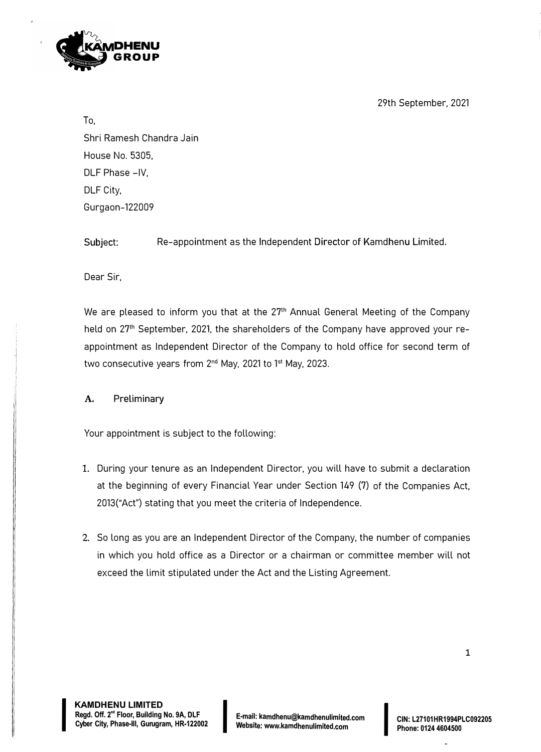29th September, 2021



To,

Shri Ramesh Chandra Jain House No. 5305, DLF Phase -IV, DLF City, Gurgaon-122009

Subject: Re-appointment as the Independent Director of Kamdhenu Limited.

Dear Sir,

We are pleased to inform you that at the 27<sup>th</sup> Annual General Meeting of the Company held on 27<sup>th</sup> September, 2021, the shareholders of the Company have approved your reappointment as Independent Director of the Company to hold office for second term of two consecutive years from 2<sup>nd</sup> May, 2021 to 1<sup>st</sup> May, 2023.

**A. Preliminary**

Your appointment is subject to the following:

- 1. During your tenure as an Independent Director, you will have to submit a declaration at the beginning of every Financial Year under Section 149 (7) of the Companies Act, 2013("Act") stating that you meet the criteria of Independence.
- 2. So long as you are an Independent Director of the Company, the number of companies in which you hold office as a Director or a chairman or committee member will not exceed the limit stipulated under the Act and the Listing Agreement.

I

**I**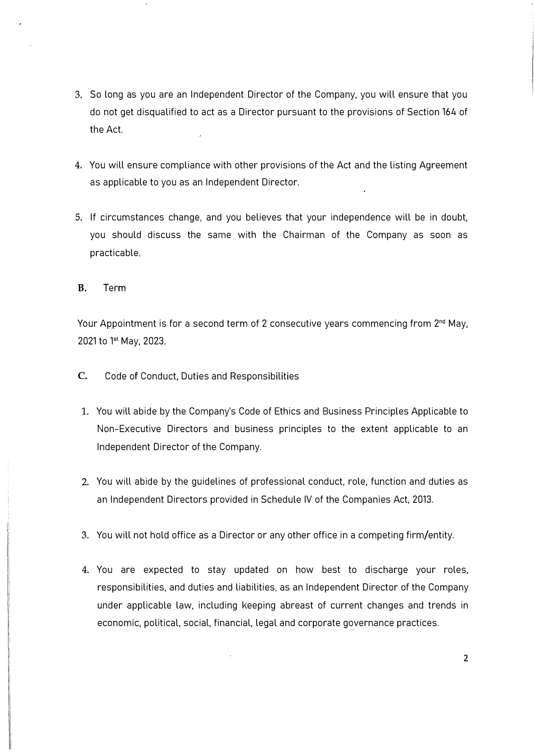- 3. So long as you are an Independent Director of the Company, you will ensure that you do not get disqualified to act as a Director pursuant to the provisions of Section 164 of the Act.
- 4. You will ensure compliance with other provisions of the Act and the listing Agreement as applicable to you as an Independent Director.
- 5. If circumstances change, and you believes that your independence will be in doubt, you should discuss the same with the Chairman of the Company as soon as practicable.

B. Term

Your Appointment is for a second term of 2 consecutive years commencing from  $2<sup>nd</sup>$  May, 2021 to 1<sup>st</sup> May, 2023.

- C. Code of Conduct, Duties and Responsibilities
- 1. You will abide by the Company's Code of Ethics and Business Principles Applicable to Non-Executive Directors and business principles to the extent applicable to an Independent Director of the Company.
- 2. You will abide by the guidelines of professional conduct, role, function and duties as an Independent Directors provided in Schedule IV of the Companies Act. 2013.
- 3. You will not hold office as a Director or any other office in a competing firm/entity.
- 4. You are expected to stay updated on how best to discharge your roles, responsibilities, and duties and liabilities, as an Independent Director of the Company under applicable law, including keeping abreast of current changes and trends in economic, political, social, financial, legal and corporate governance practices.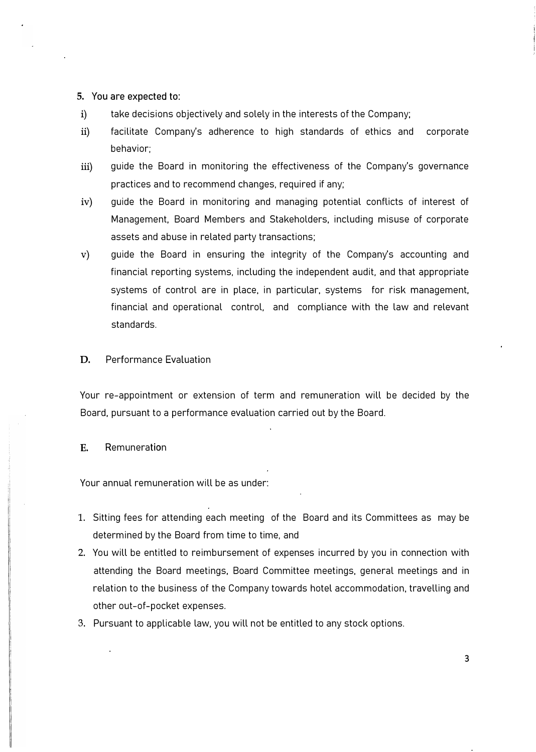#### **5. You are expected to:**

- i) take decisions objectively and solely in the interests of the Company;
- ii) facilitate Company's adherence to high standards of ethics and corporate behavior;
- iii) guide the Board in monitoring the effectiveness of the Company's governance practices and to recommend changes, required if any;
- iv) guide the Board in monitoring and managing potential conflicts of interest of Management, Board Members and Stakeholders, including misuse of corporate assets and abuse in related party transactions;
- v) guide the Board in ensuring the integrity of the Company's accounting and financial reporting systems, including the independent audit, and that appropriate systems of control are in place, in particular, systems for risk management, financial and operational control, and compliance with the law and relevant standards.
- D. Performance Evaluation

Your re-appointment or extension of term and remuneration will be decided by the Board, pursuant to a performance evaluation carried out by the Board.

### E. Remuneration

Your annual remuneration will be as under:

- 1. Sitting fees for attending each meeting of the Board and its Committees as may be determined by the Board from time to time, and
- 2. You will be entitled to reimbursement of expenses incurred by you in connection with attending the Board meetings, Board Committee meetings, general meetings and in relation to the business of the Company towards hotel accommodation, travelling and other out-of-pocket expenses.
- 3. Pursuant to applicable law, you will not be entitled to any stock options.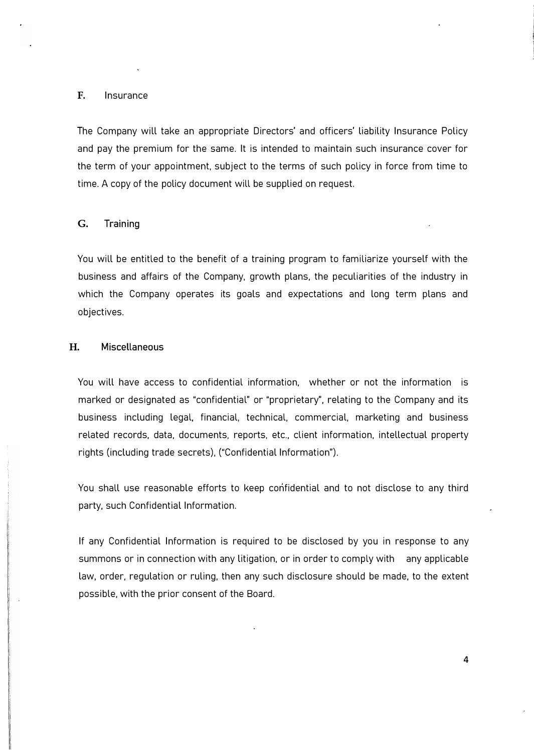#### F. Insurance

The Company will take an appropriate Directors' and officers' liability Insurance Policy and pay the premium for the same. It is intended to maintain such insurance cover for the term of your appointment, subject to the terms of such policy in force from time to time. A copy of the policy document will be supplied on request.

#### **G. Training**

You will be entitled to the benefit of a training program to familiarize yourself with the business and affairs of the Company, growth plans, the peculiarities of the industry in which the Company operates its goals and expectations and long term plans and objectives.

### **H. Miscellaneous**

You will have access to confidential information, whether or not the information is marked or designated as "confidential" or "proprietary", relating to the Company and its business including legal, financial, technical, commercial, marketing and business related records, data, documents, reports, etc., client information, intellectual property rights (including trade secrets), ("Confidential Information").

You shall use reasonable efforts to keep confidential and to not disclose to any third party, such Confidential Information.

If any Confidential Information is required to be disclosed by you in response to any summons or in connection with any litigation, or in order to comply with any applicable law, order, regulation or ruling, then any such disclosure should be made, to the extent possible, with the prior consent of the Board.